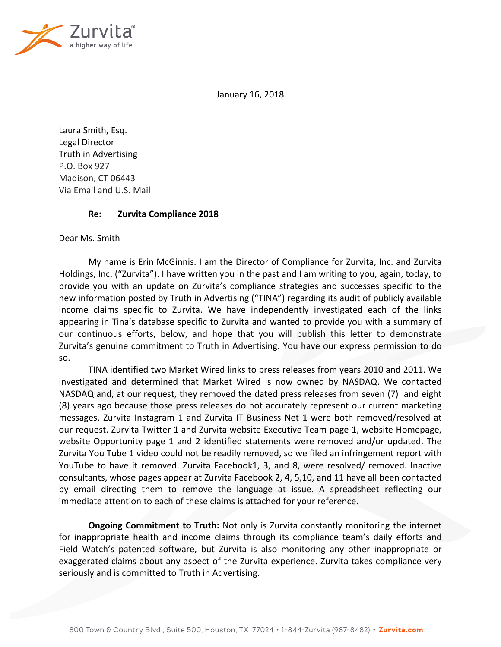

January 16, 2018

Laura Smith, Esq. Legal Director Truth in Advertising P.O. Box 927 Madison, CT 06443 Via Email and U.S. Mail

## **Re: Zurvita Compliance 2018**

Dear Ms. Smith

My name is Erin McGinnis. I am the Director of Compliance for Zurvita, Inc. and Zurvita Holdings, Inc. ("Zurvita"). I have written you in the past and I am writing to you, again, today, to provide you with an update on Zurvita's compliance strategies and successes specific to the new information posted by Truth in Advertising ("TINA") regarding its audit of publicly available income claims specific to Zurvita. We have independently investigated each of the links appearing in Tina's database specific to Zurvita and wanted to provide you with a summary of our continuous efforts, below, and hope that you will publish this letter to demonstrate Zurvita's genuine commitment to Truth in Advertising. You have our express permission to do so.

TINA identified two Market Wired links to press releases from years 2010 and 2011. We investigated and determined that Market Wired is now owned by NASDAQ. We contacted NASDAQ and, at our request, they removed the dated press releases from seven (7) and eight (8) years ago because those press releases do not accurately represent our current marketing messages. Zurvita Instagram 1 and Zurvita IT Business Net 1 were both removed/resolved at our request. Zurvita Twitter 1 and Zurvita website Executive Team page 1, website Homepage, website Opportunity page 1 and 2 identified statements were removed and/or updated. The Zurvita You Tube 1 video could not be readily removed, so we filed an infringement report with YouTube to have it removed. Zurvita Facebook1, 3, and 8, were resolved/ removed. Inactive consultants, whose pages appear at Zurvita Facebook 2, 4, 5,10, and 11 have all been contacted by email directing them to remove the language at issue. A spreadsheet reflecting our immediate attention to each of these claims is attached for your reference.

**Ongoing Commitment to Truth:** Not only is Zurvita constantly monitoring the internet for inappropriate health and income claims through its compliance team's daily efforts and Field Watch's patented software, but Zurvita is also monitoring any other inappropriate or exaggerated claims about any aspect of the Zurvita experience. Zurvita takes compliance very seriously and is committed to Truth in Advertising.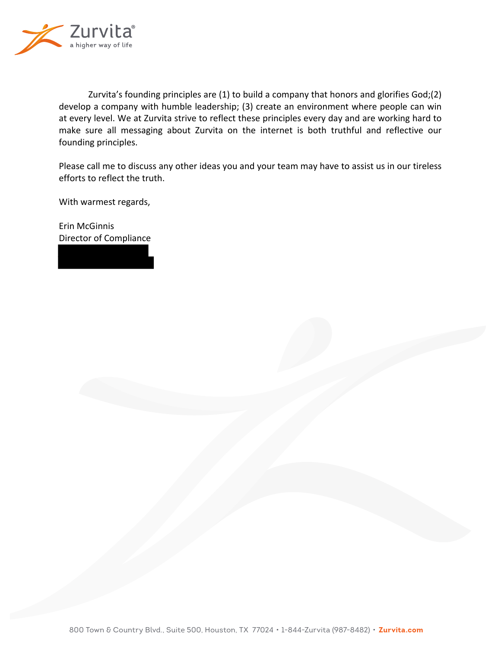

Zurvita's founding principles are  $(1)$  to build a company that honors and glorifies God;(2) develop a company with humble leadership; (3) create an environment where people can win at every level. We at Zurvita strive to reflect these principles every day and are working hard to make sure all messaging about Zurvita on the internet is both truthful and reflective our founding principles.

Please call me to discuss any other ideas you and your team may have to assist us in our tireless efforts to reflect the truth.

With warmest regards,

Erin McGinnis Director of Compliance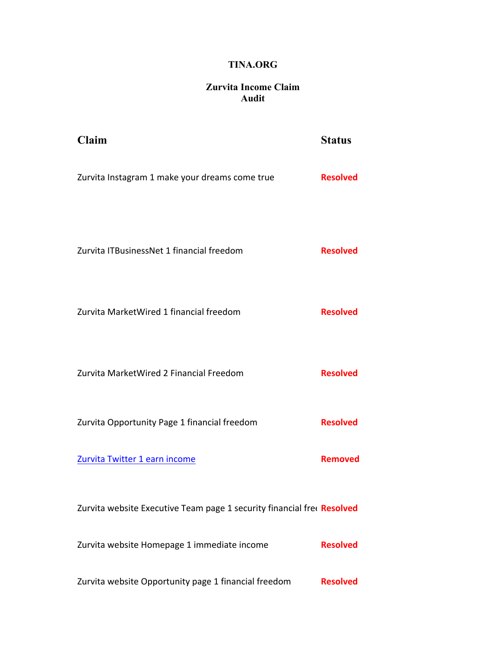## **TINA.ORG**

## **Zurvita Income Claim Audit**

| Claim                                                                  | <b>Status</b>   |
|------------------------------------------------------------------------|-----------------|
| Zurvita Instagram 1 make your dreams come true                         | <b>Resolved</b> |
| Zurvita ITBusinessNet 1 financial freedom                              | <b>Resolved</b> |
| Zurvita MarketWired 1 financial freedom                                | <b>Resolved</b> |
| Zurvita MarketWired 2 Financial Freedom                                | <b>Resolved</b> |
| Zurvita Opportunity Page 1 financial freedom                           | <b>Resolved</b> |
| Zurvita Twitter 1 earn income                                          | <b>Removed</b>  |
| Zurvita website Executive Team page 1 security financial free Resolved |                 |
| Zurvita website Homepage 1 immediate income                            | <b>Resolved</b> |
| Zurvita website Opportunity page 1 financial freedom                   | <b>Resolved</b> |